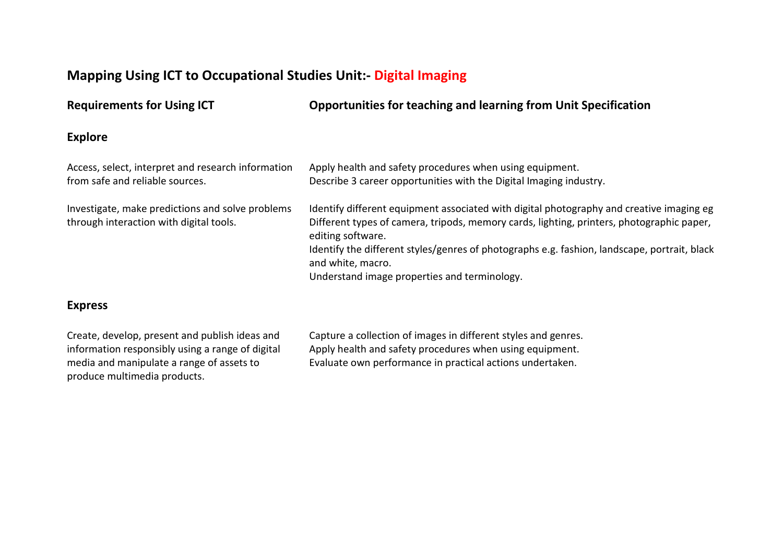# **Mapping Using ICT to Occupational Studies Unit:- Digital Imaging**

**Requirements for Using ICT Opportunities for teaching and learning from Unit Specification Explore** Access, select, interpret and research information from safe and reliable sources. Apply health and safety procedures when using equipment. Describe 3 career opportunities with the Digital Imaging industry. Investigate, make predictions and solve problems through interaction with digital tools. Identify different equipment associated with digital photography and creative imaging eg Different types of camera, tripods, memory cards, lighting, printers, photographic paper, editing software. Identify the different styles/genres of photographs e.g. fashion, landscape, portrait, black and white, macro. Understand image properties and terminology.

#### **Express**

Create, develop, present and publish ideas and information responsibly using a range of digital media and manipulate a range of assets to produce multimedia products.

Capture a collection of images in different styles and genres. Apply health and safety procedures when using equipment. Evaluate own performance in practical actions undertaken.